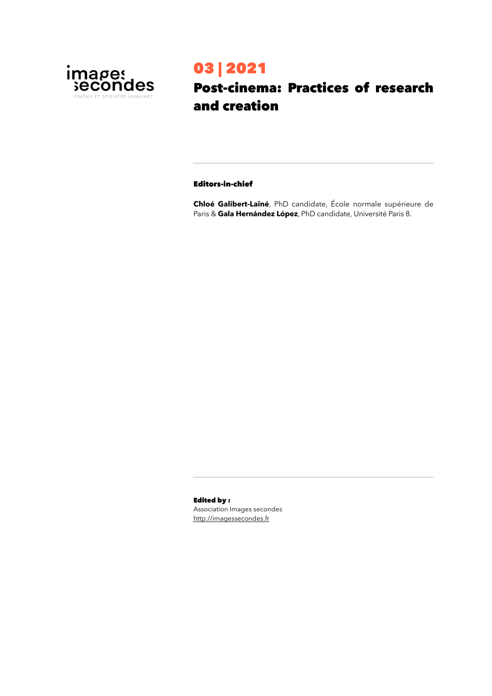

# 03 | 2021

## Post-cinema: Practices of research and creation

#### Editors-in-chief

**Chloé Galibert-Laîné**, PhD candidate, École normale supérieure de Paris & **Gala Hernández López**, PhD candidate, Université Paris 8.

Edited by : Association Images secondes <http://imagessecondes.fr>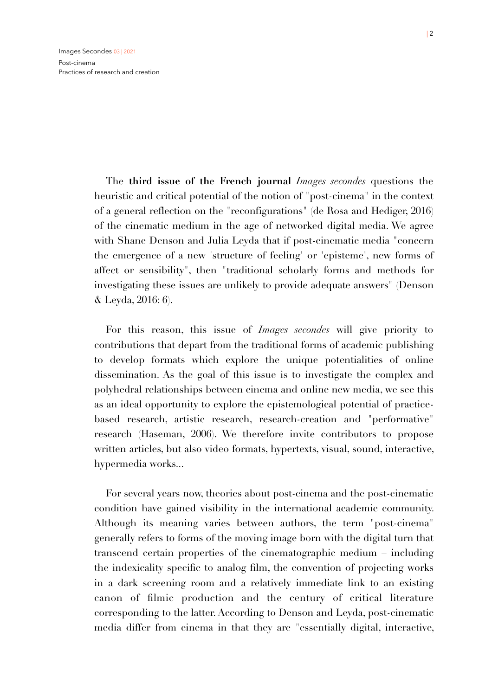The **third issue of the French journal** *Images secondes* questions the heuristic and critical potential of the notion of "post-cinema" in the context of a general reflection on the "reconfigurations" (de Rosa and Hediger, 2016) of the cinematic medium in the age of networked digital media. We agree with Shane Denson and Julia Leyda that if post-cinematic media "concern the emergence of a new 'structure of feeling' or 'episteme', new forms of affect or sensibility", then "traditional scholarly forms and methods for investigating these issues are unlikely to provide adequate answers" (Denson & Leyda, 2016: 6).

For this reason, this issue of *Images secondes* will give priority to contributions that depart from the traditional forms of academic publishing to develop formats which explore the unique potentialities of online dissemination. As the goal of this issue is to investigate the complex and polyhedral relationships between cinema and online new media, we see this as an ideal opportunity to explore the epistemological potential of practicebased research, artistic research, research-creation and "performative" research (Haseman, 2006). We therefore invite contributors to propose written articles, but also video formats, hypertexts, visual, sound, interactive, hypermedia works...

For several years now, theories about post-cinema and the post-cinematic condition have gained visibility in the international academic community. Although its meaning varies between authors, the term "post-cinema" generally refers to forms of the moving image born with the digital turn that transcend certain properties of the cinematographic medium – including the indexicality specific to analog film, the convention of projecting works in a dark screening room and a relatively immediate link to an existing canon of filmic production and the century of critical literature corresponding to the latter. According to Denson and Leyda, post-cinematic media differ from cinema in that they are "essentially digital, interactive,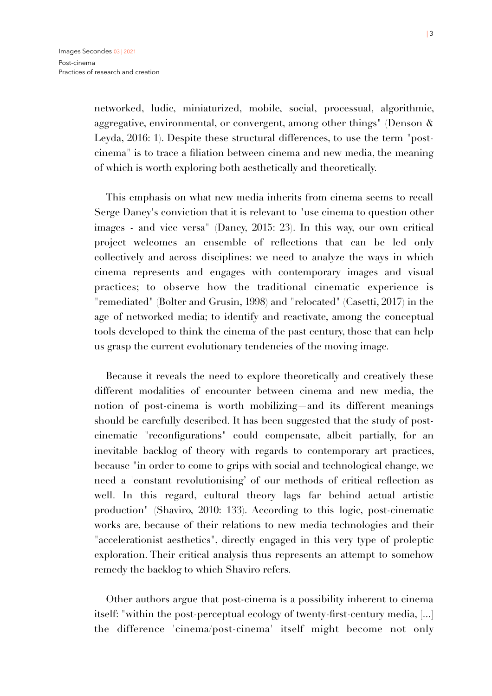networked, ludic, miniaturized, mobile, social, processual, algorithmic, aggregative, environmental, or convergent, among other things" (Denson & Leyda, 2016: 1). Despite these structural differences, to use the term "postcinema" is to trace a filiation between cinema and new media, the meaning of which is worth exploring both aesthetically and theoretically.

This emphasis on what new media inherits from cinema seems to recall Serge Daney's conviction that it is relevant to "use cinema to question other images - and vice versa" (Daney, 2015: 23). In this way, our own critical project welcomes an ensemble of reflections that can be led only collectively and across disciplines: we need to analyze the ways in which cinema represents and engages with contemporary images and visual practices; to observe how the traditional cinematic experience is "remediated" (Bolter and Grusin, 1998) and "relocated" (Casetti, 2017) in the age of networked media; to identify and reactivate, among the conceptual tools developed to think the cinema of the past century, those that can help us grasp the current evolutionary tendencies of the moving image.

Because it reveals the need to explore theoretically and creatively these different modalities of encounter between cinema and new media, the notion of post-cinema is worth mobilizing—and its different meanings should be carefully described. It has been suggested that the study of postcinematic "reconfigurations" could compensate, albeit partially, for an inevitable backlog of theory with regards to contemporary art practices, because "in order to come to grips with social and technological change, we need a 'constant revolutionising' of our methods of critical reflection as well. In this regard, cultural theory lags far behind actual artistic production" (Shaviro, 2010: 133). According to this logic, post-cinematic works are, because of their relations to new media technologies and their "accelerationist aesthetics", directly engaged in this very type of proleptic exploration. Their critical analysis thus represents an attempt to somehow remedy the backlog to which Shaviro refers.

Other authors argue that post-cinema is a possibility inherent to cinema itself: "within the post-perceptual ecology of twenty-first-century media, [...] the difference 'cinema/post-cinema' itself might become not only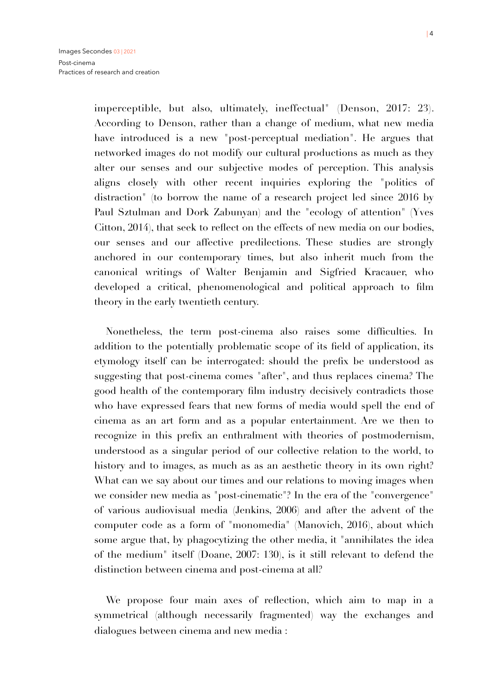imperceptible, but also, ultimately, ineffectual" (Denson, 2017: 23). According to Denson, rather than a change of medium, what new media have introduced is a new "post-perceptual mediation". He argues that networked images do not modify our cultural productions as much as they alter our senses and our subjective modes of perception. This analysis aligns closely with other recent inquiries exploring the "politics of distraction" (to borrow the name of a research project led since 2016 by Paul Sztulman and Dork Zabunyan) and the "ecology of attention" (Yves Citton, 2014), that seek to reflect on the effects of new media on our bodies, our senses and our affective predilections. These studies are strongly anchored in our contemporary times, but also inherit much from the canonical writings of Walter Benjamin and Sigfried Kracauer, who developed a critical, phenomenological and political approach to film theory in the early twentieth century.

Nonetheless, the term post-cinema also raises some difficulties. In addition to the potentially problematic scope of its field of application, its etymology itself can be interrogated: should the prefix be understood as suggesting that post-cinema comes "after", and thus replaces cinema? The good health of the contemporary film industry decisively contradicts those who have expressed fears that new forms of media would spell the end of cinema as an art form and as a popular entertainment. Are we then to recognize in this prefix an enthralment with theories of postmodernism, understood as a singular period of our collective relation to the world, to history and to images, as much as as an aesthetic theory in its own right? What can we say about our times and our relations to moving images when we consider new media as "post-cinematic"? In the era of the "convergence" of various audiovisual media (Jenkins, 2006) and after the advent of the computer code as a form of "monomedia" (Manovich, 2016), about which some argue that, by phagocytizing the other media, it "annihilates the idea of the medium" itself (Doane, 2007: 130), is it still relevant to defend the distinction between cinema and post-cinema at all?

We propose four main axes of reflection, which aim to map in a symmetrical (although necessarily fragmented) way the exchanges and dialogues between cinema and new media :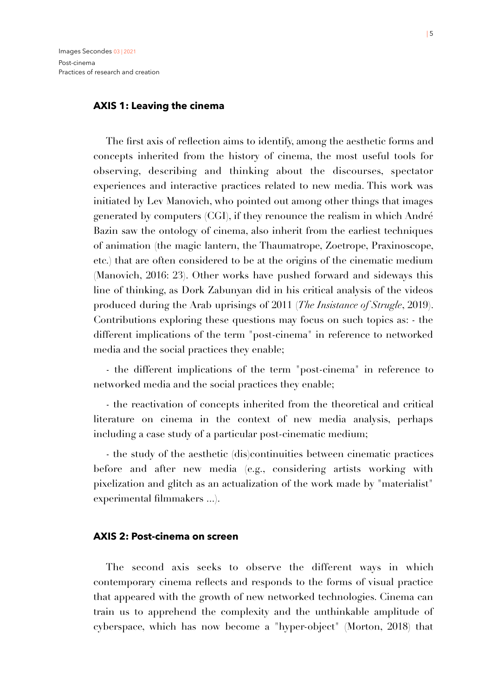#### **AXIS 1: Leaving the cinema**

The first axis of reflection aims to identify, among the aesthetic forms and concepts inherited from the history of cinema, the most useful tools for observing, describing and thinking about the discourses, spectator experiences and interactive practices related to new media. This work was initiated by Lev Manovich, who pointed out among other things that images generated by computers (CGI), if they renounce the realism in which André Bazin saw the ontology of cinema, also inherit from the earliest techniques of animation (the magic lantern, the Thaumatrope, Zoetrope, Praxinoscope, etc.) that are often considered to be at the origins of the cinematic medium (Manovich, 2016: 23). Other works have pushed forward and sideways this line of thinking, as Dork Zabunyan did in his critical analysis of the videos produced during the Arab uprisings of 2011 (*The Insistance of Strugle*, 2019). Contributions exploring these questions may focus on such topics as: - the different implications of the term "post-cinema" in reference to networked media and the social practices they enable;

- the different implications of the term "post-cinema" in reference to networked media and the social practices they enable;

- the reactivation of concepts inherited from the theoretical and critical literature on cinema in the context of new media analysis, perhaps including a case study of a particular post-cinematic medium;

- the study of the aesthetic (dis)continuities between cinematic practices before and after new media (e.g., considering artists working with pixelization and glitch as an actualization of the work made by "materialist" experimental filmmakers ...).

#### **AXIS 2: Post-cinema on screen**

The second axis seeks to observe the different ways in which contemporary cinema reflects and responds to the forms of visual practice that appeared with the growth of new networked technologies. Cinema can train us to apprehend the complexity and the unthinkable amplitude of cyberspace, which has now become a "hyper-object" (Morton, 2018) that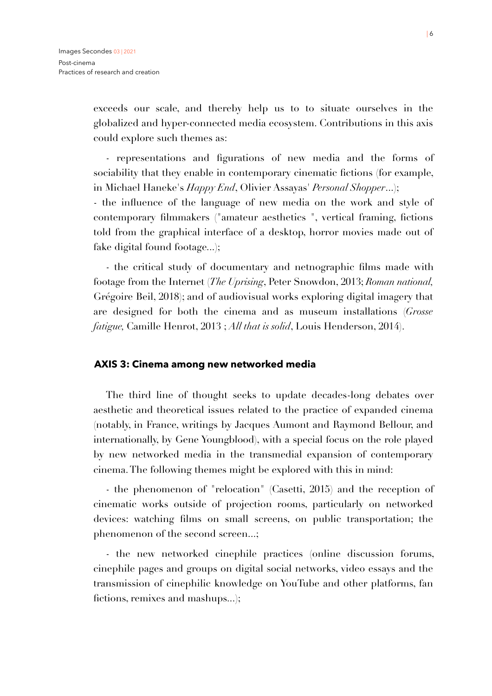exceeds our scale, and thereby help us to to situate ourselves in the globalized and hyper-connected media ecosystem. Contributions in this axis could explore such themes as:

- representations and figurations of new media and the forms of sociability that they enable in contemporary cinematic fictions (for example, in Michael Haneke's *Happy End*, Olivier Assayas' *Personal Shopper*...);

- the influence of the language of new media on the work and style of contemporary filmmakers ("amateur aesthetics ", vertical framing, fictions told from the graphical interface of a desktop, horror movies made out of fake digital found footage...);

- the critical study of documentary and netnographic films made with footage from the Internet (*The Uprising*, Peter Snowdon, 2013; *Roman national,*  Grégoire Beil, 2018); and of audiovisual works exploring digital imagery that are designed for both the cinema and as museum installations (*Grosse fatigue,* Camille Henrot, 2013 ; *All that is solid*, Louis Henderson, 2014).

#### **AXIS 3: Cinema among new networked media**

The third line of thought seeks to update decades-long debates over aesthetic and theoretical issues related to the practice of expanded cinema (notably, in France, writings by Jacques Aumont and Raymond Bellour, and internationally, by Gene Youngblood), with a special focus on the role played by new networked media in the transmedial expansion of contemporary cinema. The following themes might be explored with this in mind:

- the phenomenon of "relocation" (Casetti, 2015) and the reception of cinematic works outside of projection rooms, particularly on networked devices: watching films on small screens, on public transportation; the phenomenon of the second screen...;

- the new networked cinephile practices (online discussion forums, cinephile pages and groups on digital social networks, video essays and the transmission of cinephilic knowledge on YouTube and other platforms, fan fictions, remixes and mashups...);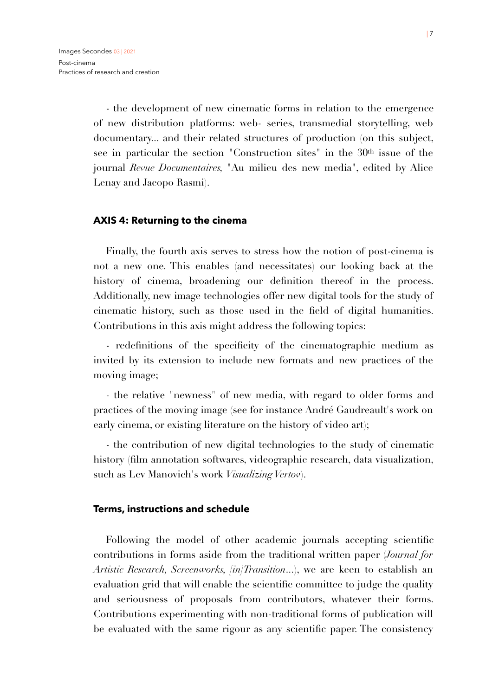- the development of new cinematic forms in relation to the emergence of new distribution platforms: web- series, transmedial storytelling, web documentary... and their related structures of production (on this subject, see in particular the section "Construction sites" in the 30<sup>th</sup> issue of the journal *Revue Documentaires,* "Au milieu des new media", edited by Alice Lenay and Jacopo Rasmi).

#### **AXIS 4: Returning to the cinema**

Finally, the fourth axis serves to stress how the notion of post-cinema is not a new one. This enables (and necessitates) our looking back at the history of cinema, broadening our definition thereof in the process. Additionally, new image technologies offer new digital tools for the study of cinematic history, such as those used in the field of digital humanities. Contributions in this axis might address the following topics:

- redefinitions of the specificity of the cinematographic medium as invited by its extension to include new formats and new practices of the moving image;

- the relative "newness" of new media, with regard to older forms and practices of the moving image (see for instance André Gaudreault's work on early cinema, or existing literature on the history of video art);

- the contribution of new digital technologies to the study of cinematic history (film annotation softwares, videographic research, data visualization, such as Lev Manovich's work *Visualizing Vertov*).

#### **Terms, instructions and schedule**

Following the model of other academic journals accepting scientific contributions in forms aside from the traditional written paper (*Journal for Artistic Research, Screenworks, [in]Transition*...), we are keen to establish an evaluation grid that will enable the scientific committee to judge the quality and seriousness of proposals from contributors, whatever their forms. Contributions experimenting with non-traditional forms of publication will be evaluated with the same rigour as any scientific paper. The consistency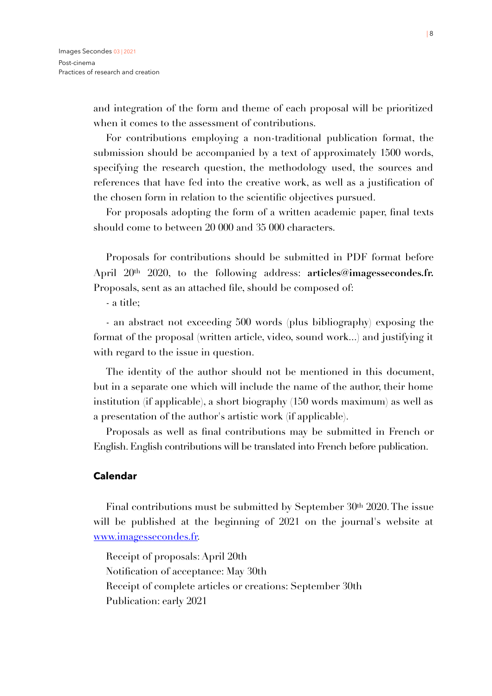and integration of the form and theme of each proposal will be prioritized when it comes to the assessment of contributions.

For contributions employing a non-traditional publication format, the submission should be accompanied by a text of approximately 1500 words, specifying the research question, the methodology used, the sources and references that have fed into the creative work, as well as a justification of the chosen form in relation to the scientific objectives pursued.

For proposals adopting the form of a written academic paper, final texts should come to between 20 000 and 35 000 characters.

Proposals for contributions should be submitted in PDF format before April 20th 2020, to the following address: **articles@imagessecondes.fr.**  Proposals, sent as an attached file, should be composed of:

- a title;

- an abstract not exceeding 500 words (plus bibliography) exposing the format of the proposal (written article, video, sound work...) and justifying it with regard to the issue in question.

The identity of the author should not be mentioned in this document, but in a separate one which will include the name of the author, their home institution (if applicable), a short biography (150 words maximum) as well as a presentation of the author's artistic work (if applicable).

Proposals as well as final contributions may be submitted in French or English. English contributions will be translated into French before publication.

## **Calendar**

Final contributions must be submitted by September 30<sup>th</sup> 2020. The issue will be published at the beginning of 2021 on the journal's website at [www.imagessecondes.fr.](http://www.imagessecondes.fr/)

Receipt of proposals: April 20th Notification of acceptance: May 30th Receipt of complete articles or creations: September 30th Publication: early 2021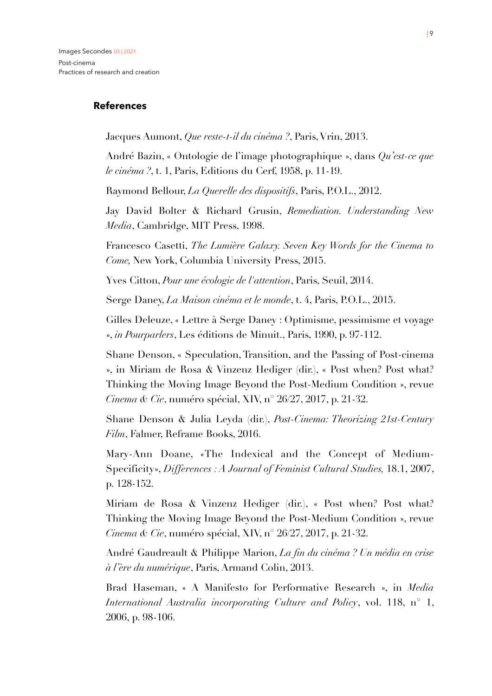## **References**

Jacques Aumont, *Que reste-t-il du cinéma ?*, Paris, Vrin, 2013.

André Bazin, « Ontologie de l'image photographique », dans *Qu'est-ce que le cinéma ?*, t. 1, Paris, Editions du Cerf, 1958, p. 11-19.

Raymond Bellour, *La Querelle des dispositifs*, Paris, P.O.L., 2012.

Jay David Bolter & Richard Grusin, *Remediation. Understanding New Media*, Cambridge, MIT Press, 1998.

Francesco Casetti, *The Lumière Galaxy. Seven Key Words for the Cinema to Come,* New York, Columbia University Press, 2015.

Yves Citton, *Pour une écologie de l'attention*, Paris, Seuil, 2014.

Serge Daney, *La Maison cinéma et le monde*, t. 4, Paris, P.O.L., 2015.

Gilles Deleuze, « Lettre à Serge Daney : Optimisme, pessimisme et voyage », *in Pourparlers*, Les éditions de Minuit., Paris, 1990, p. 97-112.

Shane Denson, « Speculation, Transition, and the Passing of Post-cinema », in Miriam de Rosa & Vinzenz Hediger (dir.), « Post when? Post what? Thinking the Moving Image Beyond the Post-Medium Condition », revue *Cinema & Cie*, numéro spécial, XIV, n° 26/27, 2017, p. 21-32.

Shane Denson & Julia Leyda (dir.), *Post-Cinema: Theorizing 21st-Century Film*, Falmer, Reframe Books, 2016.

Mary-Ann Doane, «The Indexical and the Concept of Medium-Specificity», *Differences : A Journal of Feminist Cultural Studies,* 18.1, 2007, p. 128-152.

Miriam de Rosa & Vinzenz Hediger (dir.), « Post when? Post what? Thinking the Moving Image Beyond the Post-Medium Condition », revue *Cinema & Cie*, numéro spécial, XIV, n° 26/27, 2017, p. 21-32.

André Gaudreault & Philippe Marion, *La fin du cinéma ? Un média en crise à l'ère du numérique*, Paris, Armand Colin, 2013.

Brad Haseman, « A Manifesto for Performative Research », in *Media International Australia incorporating Culture and Policy*, vol. 118, n° 1, 2006, p. 98-106.